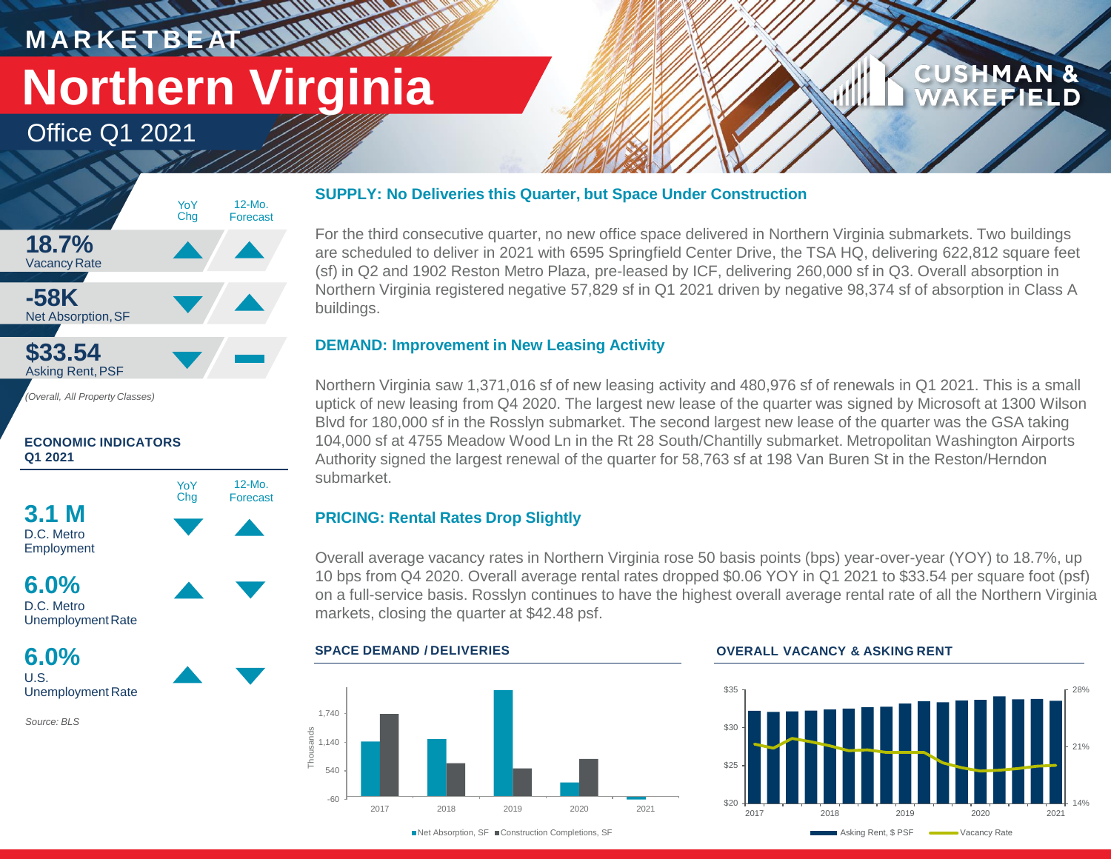# **M A R K E T B E AT Northern Virginia**

**WATER** 

12-Mo. Forecast

Office Q1 2021



*(Overall, All Property Classes)*

## **ECONOMIC INDICATORS Q1 2021**





UnemploymentRate

**6.0%** U.S. Unemployment Rate

*Source: BLS*

## **SUPPLY: No Deliveries this Quarter, but Space Under Construction**

For the third consecutive quarter, no new office space delivered in Northern Virginia submarkets. Two buildings are scheduled to deliver in 2021 with 6595 Springfield Center Drive, the TSA HQ, delivering 622,812 square feet (sf) in Q2 and 1902 Reston Metro Plaza, pre-leased by ICF, delivering 260,000 sf in Q3. Overall absorption in Northern Virginia registered negative 57,829 sf in Q1 2021 driven by negative 98,374 sf of absorption in Class A buildings.

## **DEMAND: Improvement in New Leasing Activity**

Northern Virginia saw 1,371,016 sf of new leasing activity and 480,976 sf of renewals in Q1 2021. This is a small uptick of new leasing from Q4 2020. The largest new lease of the quarter was signed by Microsoft at 1300 Wilson Blvd for 180,000 sf in the Rosslyn submarket. The second largest new lease of the quarter was the GSA taking 104,000 sf at 4755 Meadow Wood Ln in the Rt 28 South/Chantilly submarket. Metropolitan Washington Airports Authority signed the largest renewal of the quarter for 58,763 sf at 198 Van Buren St in the Reston/Herndon submarket.

## **PRICING: Rental Rates Drop Slightly**

Overall average vacancy rates in Northern Virginia rose 50 basis points (bps) year-over-year (YOY) to 18.7%, up 10 bps from Q4 2020. Overall average rental rates dropped \$0.06 YOY in Q1 2021 to \$33.54 per square foot (psf) on a full-service basis. Rosslyn continues to have the highest overall average rental rate of all the Northern Virginia markets, closing the quarter at \$42.48 psf.

## -60 540 1,140 1,740 2017 2018 2019 2020 2021 Thousands

■Net Absorption, SF ■Construction Completions, SF

## **SPACE DEMAND / DELIVERIES OVERALL VACANCY & ASKING RENT**



**CUSHMAN &** 

FIEI D